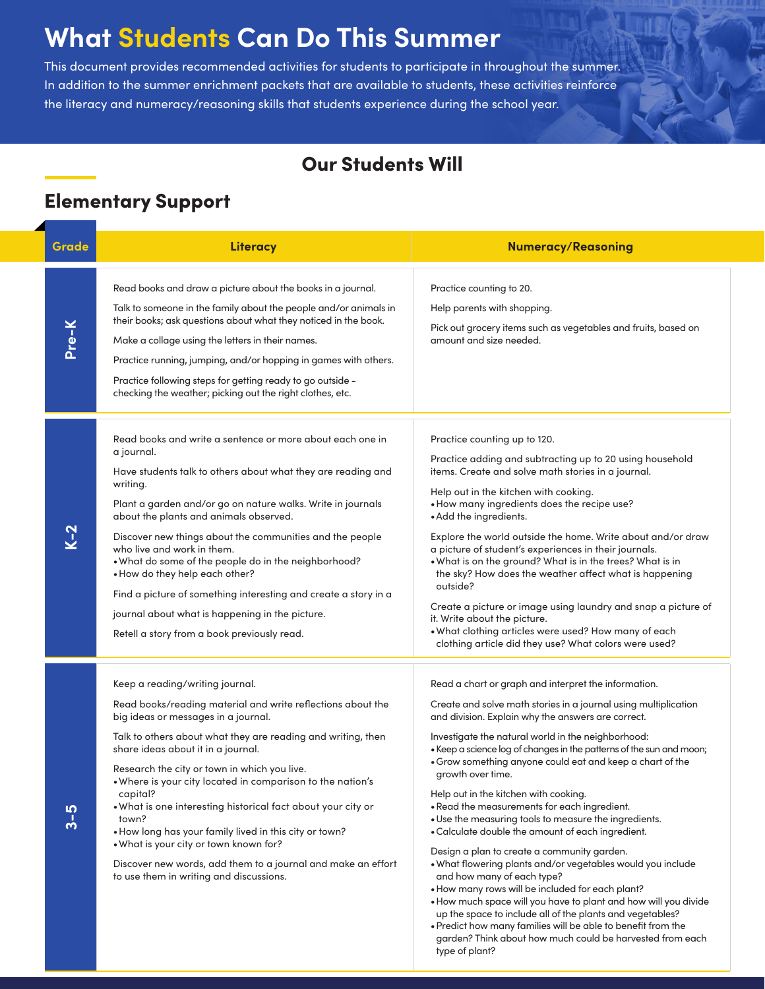# **What Students Can Do This Summer**

This document provides recommended activities for students to participate in throughout the summer. In addition to the summer enrichment packets that are available to students, these activities reinforce the literacy and numeracy/reasoning skills that students experience during the school year.

### Our Students Will

#### Elementary Support

| Grade                      | Literacy                                                                                                                                                                                                                                                                                                                                                                                                                                                                                                                                                                                                                                                      | <b>Numeracy/Reasoning</b>                                                                                                                                                                                                                                                                                                                                                                                                                                                                                                                                                                                                                                                                                                                                                                                                                                                                                                                                                                                                                                                           |
|----------------------------|---------------------------------------------------------------------------------------------------------------------------------------------------------------------------------------------------------------------------------------------------------------------------------------------------------------------------------------------------------------------------------------------------------------------------------------------------------------------------------------------------------------------------------------------------------------------------------------------------------------------------------------------------------------|-------------------------------------------------------------------------------------------------------------------------------------------------------------------------------------------------------------------------------------------------------------------------------------------------------------------------------------------------------------------------------------------------------------------------------------------------------------------------------------------------------------------------------------------------------------------------------------------------------------------------------------------------------------------------------------------------------------------------------------------------------------------------------------------------------------------------------------------------------------------------------------------------------------------------------------------------------------------------------------------------------------------------------------------------------------------------------------|
| Pre-K                      | Read books and draw a picture about the books in a journal.<br>Talk to someone in the family about the people and/or animals in<br>their books; ask questions about what they noticed in the book.<br>Make a collage using the letters in their names.<br>Practice running, jumping, and/or hopping in games with others.<br>Practice following steps for getting ready to go outside -<br>checking the weather; picking out the right clothes, etc.                                                                                                                                                                                                          | Practice counting to 20.<br>Help parents with shopping.<br>Pick out grocery items such as vegetables and fruits, based on<br>amount and size needed.                                                                                                                                                                                                                                                                                                                                                                                                                                                                                                                                                                                                                                                                                                                                                                                                                                                                                                                                |
| $\overline{\mathsf{K}}$ –2 | Read books and write a sentence or more about each one in<br>a journal.<br>Have students talk to others about what they are reading and<br>writing.<br>Plant a garden and/or go on nature walks. Write in journals<br>about the plants and animals observed.<br>Discover new things about the communities and the people<br>who live and work in them.<br>. What do some of the people do in the neighborhood?<br>• How do they help each other?<br>Find a picture of something interesting and create a story in a<br>journal about what is happening in the picture.<br>Retell a story from a book previously read.                                         | Practice counting up to 120.<br>Practice adding and subtracting up to 20 using household<br>items. Create and solve math stories in a journal.<br>Help out in the kitchen with cooking.<br>. How many ingredients does the recipe use?<br>• Add the ingredients.<br>Explore the world outside the home. Write about and/or draw<br>a picture of student's experiences in their journals.<br>. What is on the ground? What is in the trees? What is in<br>the sky? How does the weather affect what is happening<br>outside?<br>Create a picture or image using laundry and snap a picture of<br>it. Write about the picture.<br>. What clothing articles were used? How many of each<br>clothing article did they use? What colors were used?                                                                                                                                                                                                                                                                                                                                       |
| <b>50</b><br>က်            | Keep a reading/writing journal.<br>Read books/reading material and write reflections about the<br>big ideas or messages in a journal.<br>Talk to others about what they are reading and writing, then<br>share ideas about it in a journal.<br>Research the city or town in which you live.<br>. Where is your city located in comparison to the nation's<br>capital?<br>. What is one interesting historical fact about your city or<br>town?<br>. How long has your family lived in this city or town?<br>. What is your city or town known for?<br>Discover new words, add them to a journal and make an effort<br>to use them in writing and discussions. | Read a chart or graph and interpret the information.<br>Create and solve math stories in a journal using multiplication<br>and division. Explain why the answers are correct.<br>Investigate the natural world in the neighborhood:<br>• Keep a science log of changes in the patterns of the sun and moon;<br>. Grow something anyone could eat and keep a chart of the<br>growth over time.<br>Help out in the kitchen with cooking.<br>. Read the measurements for each ingredient.<br>. Use the measuring tools to measure the ingredients.<br>• Calculate double the amount of each ingredient.<br>Design a plan to create a community garden.<br>. What flowering plants and/or vegetables would you include<br>and how many of each type?<br>. How many rows will be included for each plant?<br>. How much space will you have to plant and how will you divide<br>up the space to include all of the plants and vegetables?<br>. Predict how many families will be able to benefit from the<br>garden? Think about how much could be harvested from each<br>type of plant? |